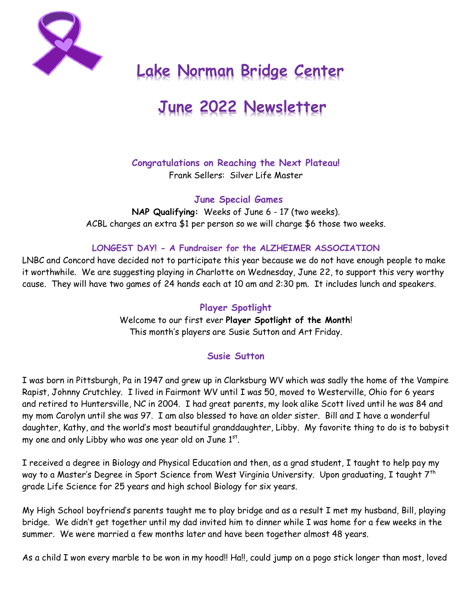

# **Lake Norman Bridge Center**

# **June 2022 Newsletter**

# **Congratulations on Reaching the Next Plateau!**

Frank Sellers: Silver Life Master

**June Special Games**

**NAP Qualifying:** Weeks of June 6 - 17 (two weeks). ACBL charges an extra \$1 per person so we will charge \$6 those two weeks.

#### **LONGEST DAY! - A Fundraiser for the ALZHEIMER ASSOCIATION**

LNBC and Concord have decided not to participate this year because we do not have enough people to make it worthwhile. We are suggesting playing in Charlotte on Wednesday, June 22, to support this very worthy cause. They will have two games of 24 hands each at 10 am and 2:30 pm. It includes lunch and speakers.

#### **Player Spotlight**

Welcome to our first ever **Player Spotlight of the Month**! This month's players are Susie Sutton and Art Friday.

### **Susie Sutton**

I was born in Pittsburgh, Pa in 1947 and grew up in Clarksburg WV which was sadly the home of the Vampire Rapist, Johnny Crutchley. I lived in Fairmont WV until I was 50, moved to Westerville, Ohio for 6 years and retired to Huntersville, NC in 2004. I had great parents, my look alike Scott lived until he was 84 and my mom Carolyn until she was 97. I am also blessed to have an older sister. Bill and I have a wonderful daughter, Kathy, and the world's most beautiful granddaughter, Libby. My favorite thing to do is to babysit my one and only Libby who was one year old on June  $1^{st}$ .

I received a degree in Biology and Physical Education and then, as a grad student, I taught to help pay my way to a Master's Degree in Sport Science from West Virginia University. Upon graduating, I taught 7<sup>th</sup> grade Life Science for 25 years and high school Biology for six years.

My High School boyfriend's parents taught me to play bridge and as a result I met my husband, Bill, playing bridge. We didn't get together until my dad invited him to dinner while I was home for a few weeks in the summer. We were married a few months later and have been together almost 48 years.

As a child I won every marble to be won in my hood!! Ha!!, could jump on a pogo stick longer than most, loved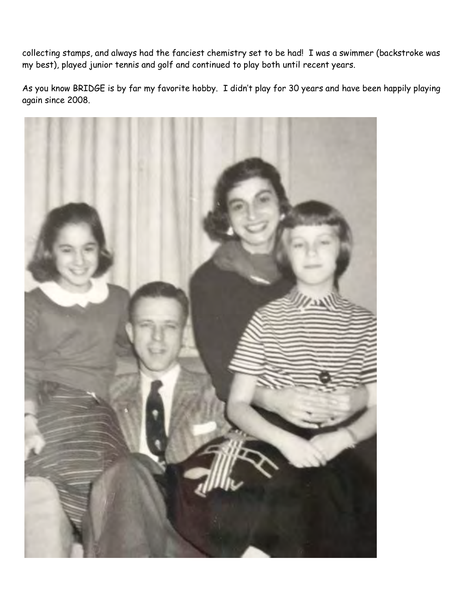collecting stamps, and always had the fanciest chemistry set to be had! I was a swimmer (backstroke was my best), played junior tennis and golf and continued to play both until recent years.

As you know BRIDGE is by far my favorite hobby. I didn't play for 30 years and have been happily playing again since 2008.

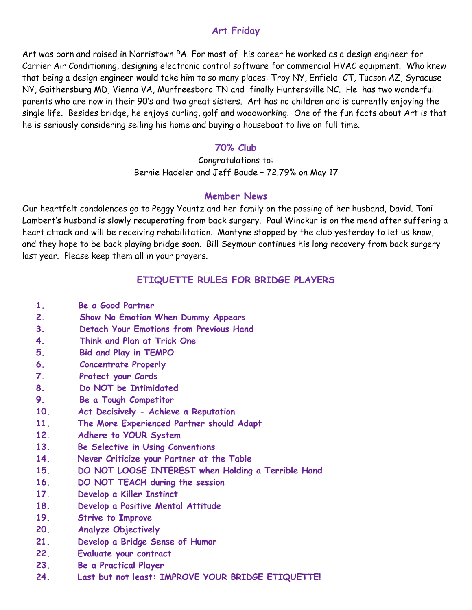### **Art Friday**

Art was born and raised in Norristown PA. For most of his career he worked as a design engineer for Carrier Air Conditioning, designing electronic control software for commercial HVAC equipment. Who knew that being a design engineer would take him to so many places: Troy NY, Enfield CT, Tucson AZ, Syracuse NY, Gaithersburg MD, Vienna VA, Murfreesboro TN and finally Huntersville NC. He has two wonderful parents who are now in their 90's and two great sisters. Art has no children and is currently enjoying the single life. Besides bridge, he enjoys curling, golf and woodworking. One of the fun facts about Art is that he is seriously considering selling his home and buying a houseboat to live on full time.

#### **70% Club**

Congratulations to: Bernie Hadeler and Jeff Baude – 72.79% on May 17

#### **Member News**

Our heartfelt condolences go to Peggy Yountz and her family on the passing of her husband, David. Toni Lambert's husband is slowly recuperating from back surgery. Paul Winokur is on the mend after suffering a heart attack and will be receiving rehabilitation. Montyne stopped by the club yesterday to let us know, and they hope to be back playing bridge soon. Bill Seymour continues his long recovery from back surgery last year. Please keep them all in your prayers.

# **ETIQUETTE RULES FOR BRIDGE PLAYERS**

- **1. Be a Good Partner**
- **2. Show No Emotion When Dummy Appears**
- **3. Detach Your Emotions from Previous Hand**
- **4. Think and Plan at Trick One**
- **5. Bid and Play in TEMPO**
- **6. Concentrate Properly**
- **7. Protect your Cards**
- **8. Do NOT be Intimidated**
- **9. Be a Tough Competitor**
- **10. Act Decisively - Achieve a Reputation**
- **11. The More Experienced Partner should Adapt**
- **12. Adhere to YOUR System**
- **13. Be Selective in Using Conventions**
- **14. Never Criticize your Partner at the Table**
- **15. DO NOT LOOSE INTEREST when Holding a Terrible Hand**
- **16. DO NOT TEACH during the session**
- **17. Develop a Killer Instinct**
- **18. Develop a Positive Mental Attitude**
- **19. Strive to Improve**
- **20. Analyze Objectively**
- **21. Develop a Bridge Sense of Humor**
- **22. Evaluate your contract**
- **23. Be a Practical Player**
- **24. Last but not least: IMPROVE YOUR BRIDGE ETIQUETTE!**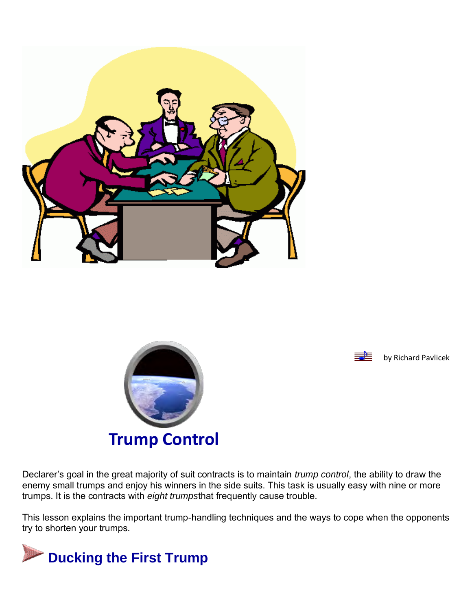





Declarer's goal in the great majority of suit contracts is to maintain *trump control*, the ability to draw the enemy small trumps and enjoy his winners in the side suits. This task is usually easy with nine or more trumps. It is the contracts with *eight trumps*that frequently cause trouble.

This lesson explains the important trump-handling techniques and the ways to cope when the opponents try to shorten your trumps.

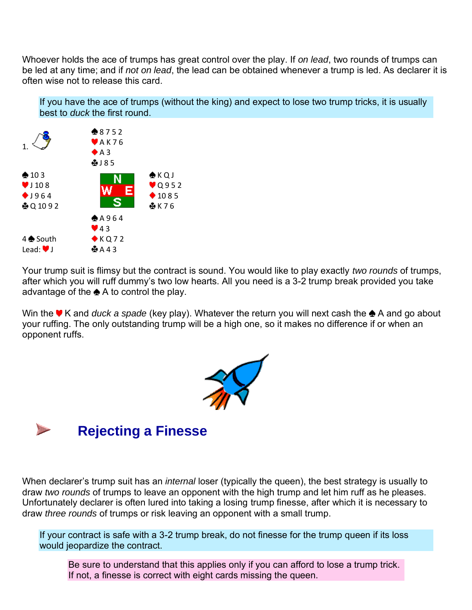Whoever holds the ace of trumps has great control over the play. If *on lead*, two rounds of trumps can be led at any time; and if *not on lead*, the lead can be obtained whenever a trump is led. As declarer it is often wise not to release this card.

If you have the ace of trumps (without the king) and expect to lose two trump tricks, it is usually best to *duck* the first round.



Your trump suit is flimsy but the contract is sound. You would like to play exactly *two rounds* of trumps, after which you will ruff dummy's two low hearts. All you need is a 3-2 trump break provided you take advantage of the  $\triangle$  A to control the play.

Win the **V** K and *duck a spade* (key play). Whatever the return you will next cash the  $\triangle$  A and go about your ruffing. The only outstanding trump will be a high one, so it makes no difference if or when an opponent ruffs.





When declarer's trump suit has an *internal* loser (typically the queen), the best strategy is usually to draw *two rounds* of trumps to leave an opponent with the high trump and let him ruff as he pleases. Unfortunately declarer is often lured into taking a losing trump finesse, after which it is necessary to draw *three rounds* of trumps or risk leaving an opponent with a small trump.

If your contract is safe with a 3-2 trump break, do not finesse for the trump queen if its loss would jeopardize the contract.

Be sure to understand that this applies only if you can afford to lose a trump trick. If not, a finesse is correct with eight cards missing the queen.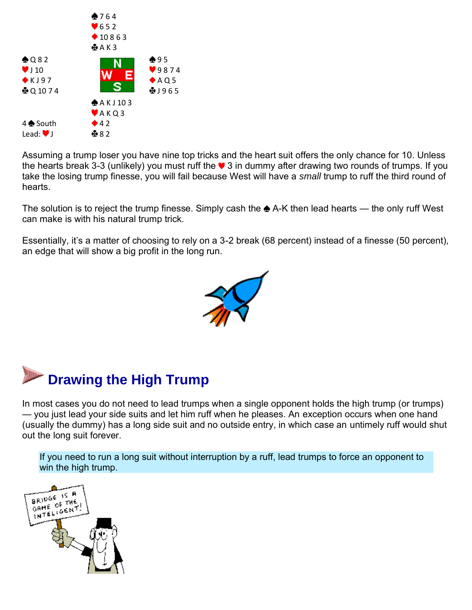

Assuming a trump loser you have nine top tricks and the heart suit offers the only chance for 10. Unless the hearts break 3-3 (unlikely) you must ruff the  $\blacktriangledown$  3 in dummy after drawing two rounds of trumps. If you take the losing trump finesse, you will fail because West will have a *small* trump to ruff the third round of hearts.

The solution is to reject the trump finesse. Simply cash the  $\triangle$  A-K then lead hearts — the only ruff West can make is with his natural trump trick.

Essentially, it's a matter of choosing to rely on a 3-2 break (68 percent) instead of a finesse (50 percent), an edge that will show a big profit in the long run.





In most cases you do not need to lead trumps when a single opponent holds the high trump (or trumps) — you just lead your side suits and let him ruff when he pleases. An exception occurs when one hand (usually the dummy) has a long side suit and no outside entry, in which case an untimely ruff would shut out the long suit forever.

If you need to run a long suit without interruption by a ruff, lead trumps to force an opponent to win the high trump.

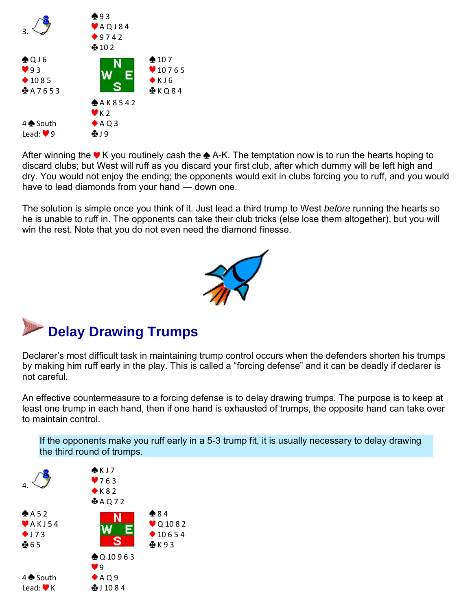

After winning the  $\blacktriangledown$  K you routinely cash the  $\clubsuit$  A-K. The temptation now is to run the hearts hoping to discard clubs; but West will ruff as you discard your first club, after which dummy will be left high and dry. You would not enjoy the ending; the opponents would exit in clubs forcing you to ruff, and you would have to lead diamonds from your hand — down one.

The solution is simple once you think of it. Just lead a third trump to West *before* running the hearts so he is unable to ruff in. The opponents can take their club tricks (else lose them altogether), but you will win the rest. Note that you do not even need the diamond finesse.





Declarer's most difficult task in maintaining trump control occurs when the defenders shorten his trumps by making him ruff early in the play. This is called a "forcing defense" and it can be deadly if declarer is not careful.

An effective countermeasure to a forcing defense is to delay drawing trumps. The purpose is to keep at least one trump in each hand, then if one hand is exhausted of trumps, the opposite hand can take over to maintain control.

If the opponents make you ruff early in a 5-3 trump fit, it is usually necessary to delay drawing the third round of trumps.

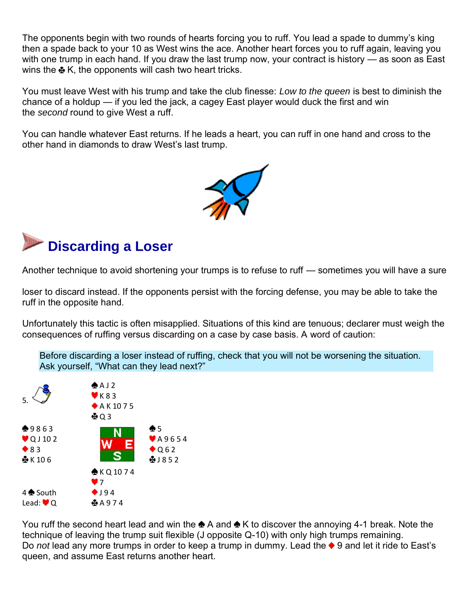The opponents begin with two rounds of hearts forcing you to ruff. You lead a spade to dummy's king then a spade back to your 10 as West wins the ace. Another heart forces you to ruff again, leaving you with one trump in each hand. If you draw the last trump now, your contract is history — as soon as East wins the  $\clubsuit$  K, the opponents will cash two heart tricks.

You must leave West with his trump and take the club finesse: *Low to the queen* is best to diminish the chance of a holdup — if you led the jack, a cagey East player would duck the first and win the *second* round to give West a ruff.

You can handle whatever East returns. If he leads a heart, you can ruff in one hand and cross to the other hand in diamonds to draw West's last trump.



# **Discarding a Loser**

Another technique to avoid shortening your trumps is to refuse to ruff — sometimes you will have a sure

loser to discard instead. If the opponents persist with the forcing defense, you may be able to take the ruff in the opposite hand.

Unfortunately this tactic is often misapplied. Situations of this kind are tenuous; declarer must weigh the consequences of ruffing versus discarding on a case by case basis. A word of caution:

Before discarding a loser instead of ruffing, check that you will not be worsening the situation. Ask yourself, "What can they lead next?"



You ruff the second heart lead and win the  $\triangle A$  and  $\triangle K$  to discover the annoying 4-1 break. Note the technique of leaving the trump suit flexible (J opposite Q-10) with only high trumps remaining. Do *not* lead any more trumps in order to keep a trump in dummy. Lead the ♦ 9 and let it ride to East's queen, and assume East returns another heart.